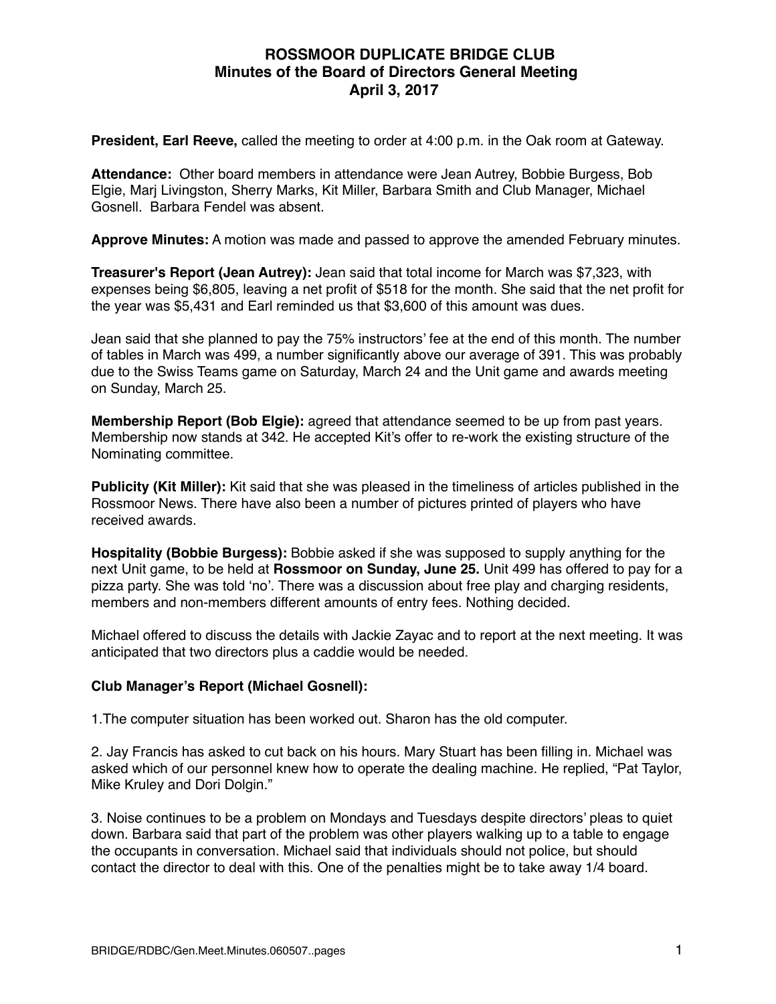## **ROSSMOOR DUPLICATE BRIDGE CLUB Minutes of the Board of Directors General Meeting April 3, 2017**

**President, Earl Reeve,** called the meeting to order at 4:00 p.m. in the Oak room at Gateway.

**Attendance:** Other board members in attendance were Jean Autrey, Bobbie Burgess, Bob Elgie, Marj Livingston, Sherry Marks, Kit Miller, Barbara Smith and Club Manager, Michael Gosnell. Barbara Fendel was absent.

**Approve Minutes:** A motion was made and passed to approve the amended February minutes.

**Treasurer's Report (Jean Autrey):** Jean said that total income for March was \$7,323, with expenses being \$6,805, leaving a net profit of \$518 for the month. She said that the net profit for the year was \$5,431 and Earl reminded us that \$3,600 of this amount was dues.

Jean said that she planned to pay the 75% instructors' fee at the end of this month. The number of tables in March was 499, a number significantly above our average of 391. This was probably due to the Swiss Teams game on Saturday, March 24 and the Unit game and awards meeting on Sunday, March 25.

**Membership Report (Bob Elgie):** agreed that attendance seemed to be up from past years. Membership now stands at 342. He accepted Kit's offer to re-work the existing structure of the Nominating committee.

**Publicity (Kit Miller):** Kit said that she was pleased in the timeliness of articles published in the Rossmoor News. There have also been a number of pictures printed of players who have received awards.

**Hospitality (Bobbie Burgess):** Bobbie asked if she was supposed to supply anything for the next Unit game, to be held at **Rossmoor on Sunday, June 25.** Unit 499 has offered to pay for a pizza party. She was told 'no'. There was a discussion about free play and charging residents, members and non-members different amounts of entry fees. Nothing decided.

Michael offered to discuss the details with Jackie Zayac and to report at the next meeting. It was anticipated that two directors plus a caddie would be needed.

## **Club Manager's Report (Michael Gosnell):**

1.The computer situation has been worked out. Sharon has the old computer.

2. Jay Francis has asked to cut back on his hours. Mary Stuart has been filling in. Michael was asked which of our personnel knew how to operate the dealing machine. He replied, "Pat Taylor, Mike Kruley and Dori Dolgin."

3. Noise continues to be a problem on Mondays and Tuesdays despite directors' pleas to quiet down. Barbara said that part of the problem was other players walking up to a table to engage the occupants in conversation. Michael said that individuals should not police, but should contact the director to deal with this. One of the penalties might be to take away 1/4 board.